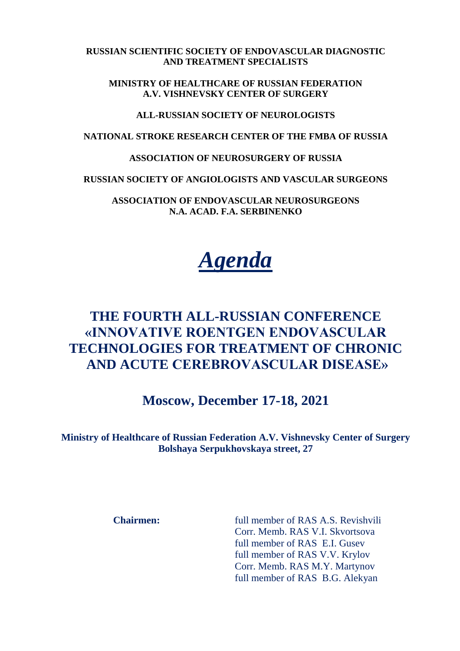**RUSSIAN SCIENTIFIC SOCIETY OF ENDOVASCULAR DIAGNOSTIC AND TREATMENT SPECIALISTS**

**MINISTRY OF HEALTHCARE OF RUSSIAN FEDERATION A.V. VISHNEVSKY CENTER OF SURGERY**

**ALL-RUSSIAN SOCIETY OF NEUROLOGISTS**

**NATIONAL STROKE RESEARCH CENTER OF THE FMBA OF RUSSIA**

**ASSOCIATION OF NEUROSURGERY OF RUSSIA**

**RUSSIAN SOCIETY OF ANGIOLOGISTS AND VASCULAR SURGEONS**

**ASSOCIATION OF ENDOVASCULAR NEUROSURGEONS N.A. ACAD. F.A. SERBINENKO**



## **THE FOURTH ALL-RUSSIAN CONFERENCE «INNOVATIVE ROENTGEN ENDOVASCULAR TECHNOLOGIES FOR TREATMENT OF CHRONIC AND ACUTE CEREBROVASCULAR DISEASE»**

**Moscow, December 17-18, 2021**

**Ministry of Healthcare of Russian Federation A.V. Vishnevsky Center of Surgery Bolshaya Serpukhovskaya street, 27**

**Chairmen:** full member of RAS A.S. Revishvili Corr. Memb. RAS V.I. Skvortsova full member of RAS E.I. Gusev full member of RAS V.V. Krylov Corr. Memb. RAS M.Y. Martynov full member of RAS B.G. Alekyan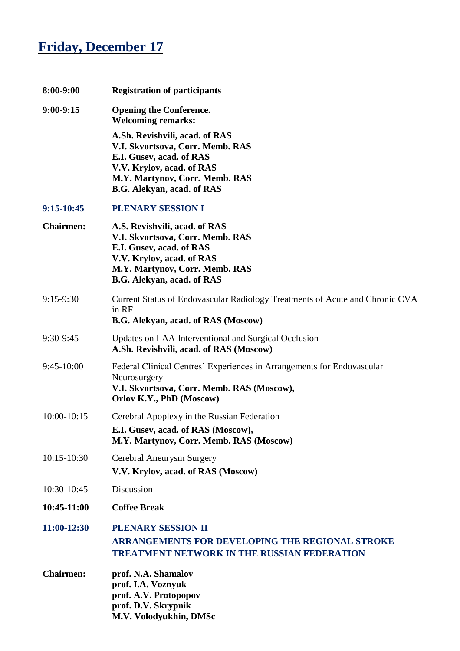## **Friday, December 17**

| 8:00-9:00        | <b>Registration of participants</b>                                                                                                                                                                |
|------------------|----------------------------------------------------------------------------------------------------------------------------------------------------------------------------------------------------|
| $9:00-9:15$      | <b>Opening the Conference.</b><br><b>Welcoming remarks:</b>                                                                                                                                        |
|                  | A.Sh. Revishvili, acad. of RAS<br>V.I. Skvortsova, Corr. Memb. RAS<br>E.I. Gusev, acad. of RAS<br>V.V. Krylov, acad. of RAS<br>M.Y. Martynov, Corr. Memb. RAS<br><b>B.G. Alekyan, acad. of RAS</b> |
| $9:15-10:45$     | PLENARY SESSION I                                                                                                                                                                                  |
| <b>Chairmen:</b> | A.S. Revishvili, acad. of RAS<br>V.I. Skvortsova, Corr. Memb. RAS<br>E.I. Gusev, acad. of RAS<br>V.V. Krylov, acad. of RAS<br>M.Y. Martynov, Corr. Memb. RAS<br>B.G. Alekyan, acad. of RAS         |
| 9:15-9:30        | Current Status of Endovascular Radiology Treatments of Acute and Chronic CVA<br>in RF<br>B.G. Alekyan, acad. of RAS (Moscow)                                                                       |
| 9:30-9:45        | Updates on LAA Interventional and Surgical Occlusion<br>A.Sh. Revishvili, acad. of RAS (Moscow)                                                                                                    |
| 9:45-10:00       | Federal Clinical Centres' Experiences in Arrangements for Endovascular<br>Neurosurgery<br>V.I. Skvortsova, Corr. Memb. RAS (Moscow),<br>Orlov K.Y., PhD (Moscow)                                   |
| 10:00-10:15      | Cerebral Apoplexy in the Russian Federation<br>E.I. Gusev, acad. of RAS (Moscow),<br>M.Y. Martynov, Corr. Memb. RAS (Moscow)                                                                       |
| $10:15 - 10:30$  | Cerebral Aneurysm Surgery<br>V.V. Krylov, acad. of RAS (Moscow)                                                                                                                                    |
| 10:30-10:45      | Discussion                                                                                                                                                                                         |
| 10:45-11:00      | <b>Coffee Break</b>                                                                                                                                                                                |
| 11:00-12:30      | <b>PLENARY SESSION II</b><br><b>ARRANGEMENTS FOR DEVELOPING THE REGIONAL STROKE</b><br><b>TREATMENT NETWORK IN THE RUSSIAN FEDERATION</b>                                                          |
| <b>Chairmen:</b> | prof. N.A. Shamalov<br>prof. I.A. Voznyuk<br>prof. A.V. Protopopov<br>prof. D.V. Skrypnik<br>M.V. Volodyukhin, DMSc                                                                                |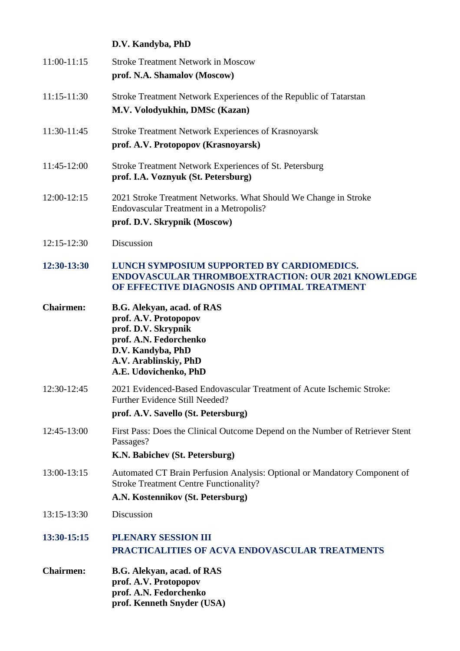|                  | D.V. Kandyba, PhD                                                                                                                                                                  |
|------------------|------------------------------------------------------------------------------------------------------------------------------------------------------------------------------------|
| $11:00-11:15$    | <b>Stroke Treatment Network in Moscow</b><br>prof. N.A. Shamalov (Moscow)                                                                                                          |
| 11:15-11:30      | Stroke Treatment Network Experiences of the Republic of Tatarstan<br>M.V. Volodyukhin, DMSc (Kazan)                                                                                |
| 11:30-11:45      | <b>Stroke Treatment Network Experiences of Krasnoyarsk</b><br>prof. A.V. Protopopov (Krasnoyarsk)                                                                                  |
| 11:45-12:00      | Stroke Treatment Network Experiences of St. Petersburg<br>prof. I.A. Voznyuk (St. Petersburg)                                                                                      |
| $12:00-12:15$    | 2021 Stroke Treatment Networks. What Should We Change in Stroke<br>Endovascular Treatment in a Metropolis?<br>prof. D.V. Skrypnik (Moscow)                                         |
| $12:15 - 12:30$  | Discussion                                                                                                                                                                         |
| 12:30-13:30      | LUNCH SYMPOSIUM SUPPORTED BY CARDIOMEDICS.<br><b>ENDOVASCULAR THROMBOEXTRACTION: OUR 2021 KNOWLEDGE</b><br>OF EFFECTIVE DIAGNOSIS AND OPTIMAL TREATMENT                            |
| <b>Chairmen:</b> | <b>B.G. Alekyan, acad. of RAS</b><br>prof. A.V. Protopopov<br>prof. D.V. Skrypnik<br>prof. A.N. Fedorchenko<br>D.V. Kandyba, PhD<br>A.V. Arablinskiy, PhD<br>A.E. Udovichenko, PhD |
| 12:30-12:45      | 2021 Evidenced-Based Endovascular Treatment of Acute Ischemic Stroke:<br>Further Evidence Still Needed?<br>prof. A.V. Savello (St. Petersburg)                                     |
| 12:45-13:00      | First Pass: Does the Clinical Outcome Depend on the Number of Retriever Stent<br>Passages?<br>K.N. Babichev (St. Petersburg)                                                       |
| 13:00-13:15      | Automated CT Brain Perfusion Analysis: Optional or Mandatory Component of<br><b>Stroke Treatment Centre Functionality?</b><br>A.N. Kostennikov (St. Petersburg)                    |
| 13:15-13:30      | Discussion                                                                                                                                                                         |
| 13:30-15:15      | PLENARY SESSION III<br><b>PRACTICALITIES OF ACVA ENDOVASCULAR TREATMENTS</b>                                                                                                       |
| <b>Chairmen:</b> | <b>B.G. Alekyan, acad. of RAS</b><br>prof. A.V. Protopopov<br>prof. A.N. Fedorchenko<br>prof. Kenneth Snyder (USA)                                                                 |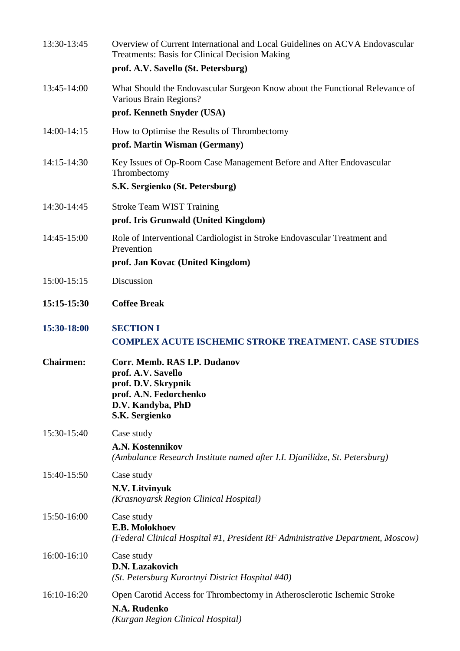| 13:30-13:45      | Overview of Current International and Local Guidelines on ACVA Endovascular<br><b>Treatments: Basis for Clinical Decision Making</b><br>prof. A.V. Savello (St. Petersburg) |
|------------------|-----------------------------------------------------------------------------------------------------------------------------------------------------------------------------|
| 13:45-14:00      | What Should the Endovascular Surgeon Know about the Functional Relevance of<br>Various Brain Regions?<br>prof. Kenneth Snyder (USA)                                         |
| 14:00-14:15      | How to Optimise the Results of Thrombectomy<br>prof. Martin Wisman (Germany)                                                                                                |
| 14:15-14:30      | Key Issues of Op-Room Case Management Before and After Endovascular<br>Thrombectomy<br>S.K. Sergienko (St. Petersburg)                                                      |
| 14:30-14:45      | <b>Stroke Team WIST Training</b><br>prof. Iris Grunwald (United Kingdom)                                                                                                    |
| 14:45-15:00      | Role of Interventional Cardiologist in Stroke Endovascular Treatment and<br>Prevention<br>prof. Jan Kovac (United Kingdom)                                                  |
| 15:00-15:15      | Discussion                                                                                                                                                                  |
| 15:15-15:30      | <b>Coffee Break</b>                                                                                                                                                         |
| 15:30-18:00      | <b>SECTION I</b><br><b>COMPLEX ACUTE ISCHEMIC STROKE TREATMENT. CASE STUDIES</b>                                                                                            |
| <b>Chairmen:</b> | Corr. Memb. RAS I.P. Dudanov<br>prof. A.V. Savello<br>prof. D.V. Skrypnik<br>prof. A.N. Fedorchenko<br>D.V. Kandyba, PhD<br>S.K. Sergienko                                  |
| 15:30-15:40      | Case study<br>A.N. Kostennikov<br>(Ambulance Research Institute named after I.I. Djanilidze, St. Petersburg)                                                                |
| 15:40-15:50      | Case study<br>N.V. Litvinyuk<br>(Krasnoyarsk Region Clinical Hospital)                                                                                                      |
| 15:50-16:00      | Case study<br>E.B. Molokhoev<br>(Federal Clinical Hospital #1, President RF Administrative Department, Moscow)                                                              |
| 16:00-16:10      | Case study<br><b>D.N. Lazakovich</b><br>(St. Petersburg Kurortnyi District Hospital #40)                                                                                    |
| 16:10-16:20      | Open Carotid Access for Thrombectomy in Atherosclerotic Ischemic Stroke<br>N.A. Rudenko<br>(Kurgan Region Clinical Hospital)                                                |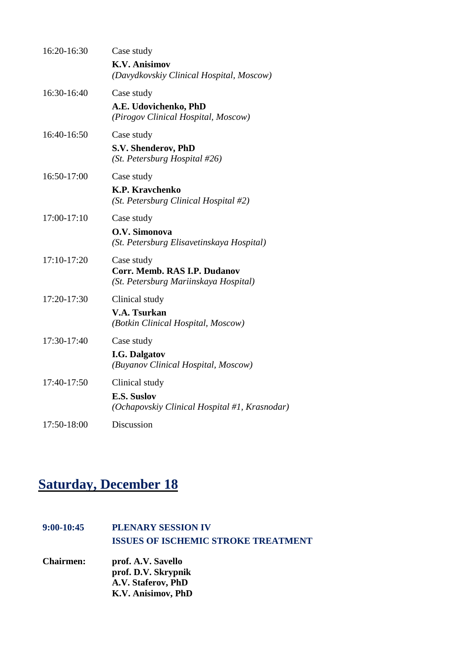| 16:20-16:30 | Case study                                                          |
|-------------|---------------------------------------------------------------------|
|             | <b>K.V. Anisimov</b><br>(Davydkovskiy Clinical Hospital, Moscow)    |
| 16:30-16:40 | Case study                                                          |
|             | A.E. Udovichenko, PhD<br>(Pirogov Clinical Hospital, Moscow)        |
| 16:40-16:50 | Case study                                                          |
|             | S.V. Shenderov, PhD<br>(St. Petersburg Hospital $#26$ )             |
| 16:50-17:00 | Case study                                                          |
|             | K.P. Kravchenko<br>(St. Petersburg Clinical Hospital #2)            |
| 17:00-17:10 | Case study                                                          |
|             | O.V. Simonova<br>(St. Petersburg Elisavetinskaya Hospital)          |
| 17:10-17:20 | Case study<br>Corr. Memb. RAS I.P. Dudanov                          |
|             | (St. Petersburg Mariinskaya Hospital)                               |
| 17:20-17:30 | Clinical study                                                      |
|             | <b>V.A. Tsurkan</b><br>(Botkin Clinical Hospital, Moscow)           |
| 17:30-17:40 | Case study                                                          |
|             | <b>I.G. Dalgatov</b><br>(Buyanov Clinical Hospital, Moscow)         |
| 17:40-17:50 | Clinical study                                                      |
|             | <b>E.S. Suslov</b><br>(Ochapovskiy Clinical Hospital #1, Krasnodar) |
| 17:50-18:00 | Discussion                                                          |

## **Saturday, December 18**

| $9:00-10:45$     | <b>PLENARY SESSION IV</b>                  |
|------------------|--------------------------------------------|
|                  | <b>ISSUES OF ISCHEMIC STROKE TREATMENT</b> |
| <b>Chairmen:</b> | prof. A.V. Savello                         |
|                  | prof. D.V. Skrypnik                        |
|                  | A.V. Staferov, PhD                         |
|                  | K.V. Anisimov, PhD                         |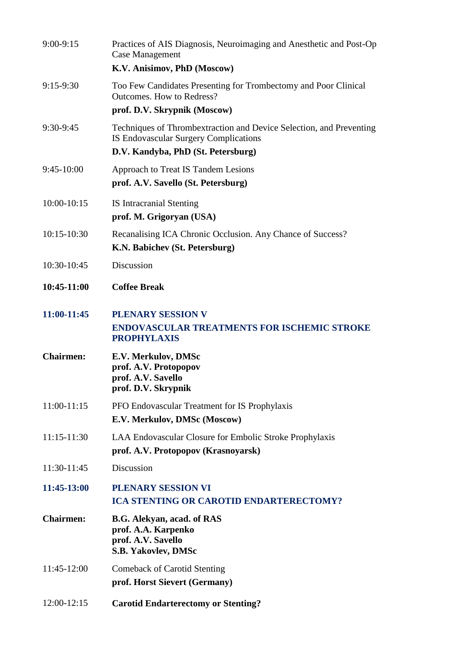| $9:00-9:15$      | Practices of AIS Diagnosis, Neuroimaging and Anesthetic and Post-Op<br><b>Case Management</b>                                                             |
|------------------|-----------------------------------------------------------------------------------------------------------------------------------------------------------|
|                  | K.V. Anisimov, PhD (Moscow)                                                                                                                               |
| $9:15-9:30$      | Too Few Candidates Presenting for Trombectomy and Poor Clinical<br><b>Outcomes. How to Redress?</b>                                                       |
|                  | prof. D.V. Skrypnik (Moscow)                                                                                                                              |
| $9:30-9:45$      | Techniques of Thrombextraction and Device Selection, and Preventing<br><b>IS Endovascular Surgery Complications</b><br>D.V. Kandyba, PhD (St. Petersburg) |
| $9:45-10:00$     | Approach to Treat IS Tandem Lesions<br>prof. A.V. Savello (St. Petersburg)                                                                                |
| $10:00 - 10:15$  | <b>IS Intracranial Stenting</b><br>prof. M. Grigoryan (USA)                                                                                               |
| $10:15-10:30$    | Recanalising ICA Chronic Occlusion. Any Chance of Success?<br>K.N. Babichev (St. Petersburg)                                                              |
| 10:30-10:45      | Discussion                                                                                                                                                |
| 10:45-11:00      | <b>Coffee Break</b>                                                                                                                                       |
| 11:00-11:45      | <b>PLENARY SESSION V</b><br><b>ENDOVASCULAR TREATMENTS FOR ISCHEMIC STROKE</b><br><b>PROPHYLAXIS</b>                                                      |
| <b>Chairmen:</b> | E.V. Merkulov, DMSc<br>prof. A.V. Protopopov<br>prof. A.V. Savello<br>prof. D.V. Skrypnik                                                                 |
| $11:00-11:15$    | PFO Endovascular Treatment for IS Prophylaxis<br>E.V. Merkulov, DMSc (Moscow)                                                                             |
| $11:15-11:30$    | LAA Endovascular Closure for Embolic Stroke Prophylaxis<br>prof. A.V. Protopopov (Krasnoyarsk)                                                            |
| 11:30-11:45      | Discussion                                                                                                                                                |
| 11:45-13:00      | PLENARY SESSION VI<br><b>ICA STENTING OR CAROTID ENDARTERECTOMY?</b>                                                                                      |
| <b>Chairmen:</b> | B.G. Alekyan, acad. of RAS<br>prof. A.A. Karpenko<br>prof. A.V. Savello<br>S.B. Yakovlev, DMSc                                                            |
| 11:45-12:00      | <b>Comeback of Carotid Stenting</b><br>prof. Horst Sievert (Germany)                                                                                      |
| 12:00-12:15      | <b>Carotid Endarterectomy or Stenting?</b>                                                                                                                |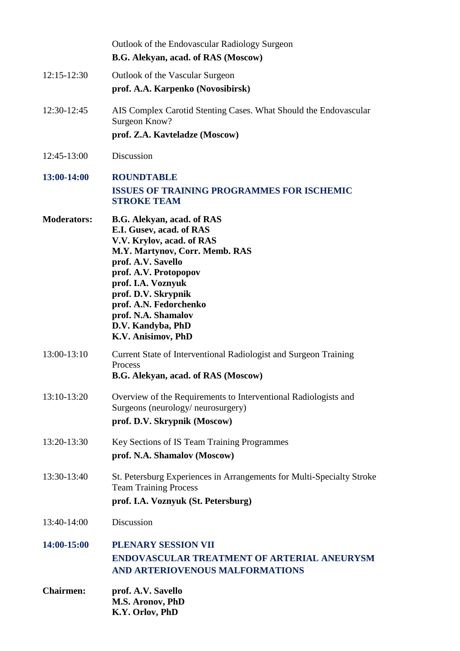|                    | Outlook of the Endovascular Radiology Surgeon<br>B.G. Alekyan, acad. of RAS (Moscow)                                                                                                                                                                                                                          |
|--------------------|---------------------------------------------------------------------------------------------------------------------------------------------------------------------------------------------------------------------------------------------------------------------------------------------------------------|
| 12:15-12:30        | Outlook of the Vascular Surgeon<br>prof. A.A. Karpenko (Novosibirsk)                                                                                                                                                                                                                                          |
| 12:30-12:45        | AIS Complex Carotid Stenting Cases. What Should the Endovascular<br>Surgeon Know?<br>prof. Z.A. Kavteladze (Moscow)                                                                                                                                                                                           |
| 12:45-13:00        | Discussion                                                                                                                                                                                                                                                                                                    |
| 13:00-14:00        | <b>ROUNDTABLE</b><br><b>ISSUES OF TRAINING PROGRAMMES FOR ISCHEMIC</b><br><b>STROKE TEAM</b>                                                                                                                                                                                                                  |
| <b>Moderators:</b> | B.G. Alekyan, acad. of RAS<br>E.I. Gusev, acad. of RAS<br>V.V. Krylov, acad. of RAS<br>M.Y. Martynov, Corr. Memb. RAS<br>prof. A.V. Savello<br>prof. A.V. Protopopov<br>prof. I.A. Voznyuk<br>prof. D.V. Skrypnik<br>prof. A.N. Fedorchenko<br>prof. N.A. Shamalov<br>D.V. Kandyba, PhD<br>K.V. Anisimov, PhD |
| 13:00-13:10        | Current State of Interventional Radiologist and Surgeon Training<br>Process<br>B.G. Alekyan, acad. of RAS (Moscow)                                                                                                                                                                                            |
| 13:10-13:20        | Overview of the Requirements to Interventional Radiologists and<br>Surgeons (neurology/neurosurgery)<br>prof. D.V. Skrypnik (Moscow)                                                                                                                                                                          |
| 13:20-13:30        | Key Sections of IS Team Training Programmes<br>prof. N.A. Shamalov (Moscow)                                                                                                                                                                                                                                   |
| 13:30-13:40        | St. Petersburg Experiences in Arrangements for Multi-Specialty Stroke<br><b>Team Training Process</b><br>prof. I.A. Voznyuk (St. Petersburg)                                                                                                                                                                  |
| 13:40-14:00        | Discussion                                                                                                                                                                                                                                                                                                    |
| 14:00-15:00        | PLENARY SESSION VII<br><b>ENDOVASCULAR TREATMENT OF ARTERIAL ANEURYSM</b><br>AND ARTERIOVENOUS MALFORMATIONS                                                                                                                                                                                                  |
| <b>Chairmen:</b>   | prof. A.V. Savello<br>M.S. Aronov, PhD<br>K.Y. Orlov, PhD                                                                                                                                                                                                                                                     |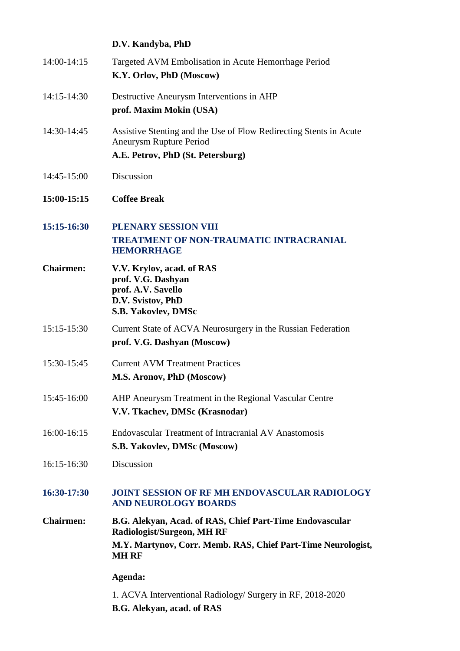|                  | D.V. Kandyba, PhD                                                                                                                  |
|------------------|------------------------------------------------------------------------------------------------------------------------------------|
| 14:00-14:15      | Targeted AVM Embolisation in Acute Hemorrhage Period<br>K.Y. Orlov, PhD (Moscow)                                                   |
| 14:15-14:30      | Destructive Aneurysm Interventions in AHP<br>prof. Maxim Mokin (USA)                                                               |
| 14:30-14:45      | Assistive Stenting and the Use of Flow Redirecting Stents in Acute<br>Aneurysm Rupture Period<br>A.E. Petrov, PhD (St. Petersburg) |
| 14:45-15:00      | Discussion                                                                                                                         |
| 15:00-15:15      | <b>Coffee Break</b>                                                                                                                |
| 15:15-16:30      | PLENARY SESSION VIII<br><b>TREATMENT OF NON-TRAUMATIC INTRACRANIAL</b><br><b>HEMORRHAGE</b>                                        |
| <b>Chairmen:</b> | V.V. Krylov, acad. of RAS<br>prof. V.G. Dashyan<br>prof. A.V. Savello<br>D.V. Svistov, PhD<br>S.B. Yakovlev, DMSc                  |
| 15:15-15:30      | Current State of ACVA Neurosurgery in the Russian Federation<br>prof. V.G. Dashyan (Moscow)                                        |
| 15:30-15:45      | <b>Current AVM Treatment Practices</b><br>M.S. Aronov, PhD (Moscow)                                                                |
| 15:45-16:00      | AHP Aneurysm Treatment in the Regional Vascular Centre<br>V.V. Tkachev, DMSc (Krasnodar)                                           |
| 16:00-16:15      | Endovascular Treatment of Intracranial AV Anastomosis<br>S.B. Yakovlev, DMSc (Moscow)                                              |
| 16:15-16:30      | Discussion                                                                                                                         |
| 16:30-17:30      | <b>JOINT SESSION OF RF MH ENDOVASCULAR RADIOLOGY</b><br><b>AND NEUROLOGY BOARDS</b>                                                |
| <b>Chairmen:</b> | B.G. Alekyan, Acad. of RAS, Chief Part-Time Endovascular<br><b>Radiologist/Surgeon, MH RF</b>                                      |
|                  | M.Y. Martynov, Corr. Memb. RAS, Chief Part-Time Neurologist,<br><b>MH RF</b>                                                       |
|                  | Agenda:                                                                                                                            |
|                  | 1. ACVA Interventional Radiology/ Surgery in RF, 2018-2020<br>B.G. Alekyan, acad. of RAS                                           |